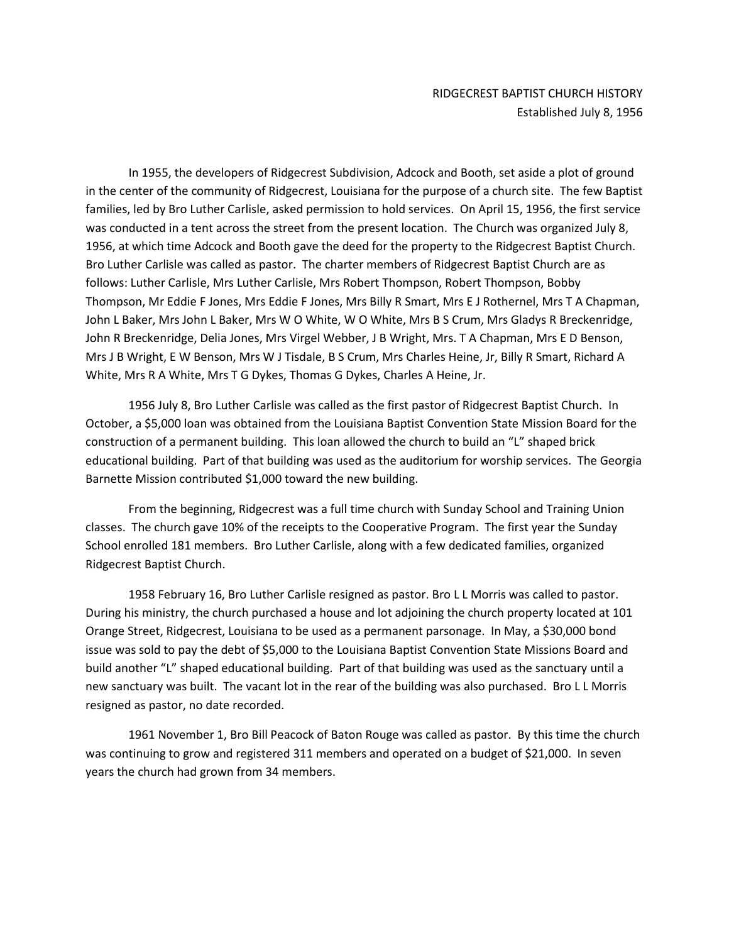In 1955, the developers of Ridgecrest Subdivision, Adcock and Booth, set aside a plot of ground in the center of the community of Ridgecrest, Louisiana for the purpose of a church site. The few Baptist families, led by Bro Luther Carlisle, asked permission to hold services. On April 15, 1956, the first service was conducted in a tent across the street from the present location. The Church was organized July 8, 1956, at which time Adcock and Booth gave the deed for the property to the Ridgecrest Baptist Church. Bro Luther Carlisle was called as pastor. The charter members of Ridgecrest Baptist Church are as follows: Luther Carlisle, Mrs Luther Carlisle, Mrs Robert Thompson, Robert Thompson, Bobby Thompson, Mr Eddie F Jones, Mrs Eddie F Jones, Mrs Billy R Smart, Mrs E J Rothernel, Mrs T A Chapman, John L Baker, Mrs John L Baker, Mrs W O White, W O White, Mrs B S Crum, Mrs Gladys R Breckenridge, John R Breckenridge, Delia Jones, Mrs Virgel Webber, J B Wright, Mrs. T A Chapman, Mrs E D Benson, Mrs J B Wright, E W Benson, Mrs W J Tisdale, B S Crum, Mrs Charles Heine, Jr, Billy R Smart, Richard A White, Mrs R A White, Mrs T G Dykes, Thomas G Dykes, Charles A Heine, Jr.

1956 July 8, Bro Luther Carlisle was called as the first pastor of Ridgecrest Baptist Church. In October, a \$5,000 loan was obtained from the Louisiana Baptist Convention State Mission Board for the construction of a permanent building. This loan allowed the church to build an "L" shaped brick educational building. Part of that building was used as the auditorium for worship services. The Georgia Barnette Mission contributed \$1,000 toward the new building.

From the beginning, Ridgecrest was a full time church with Sunday School and Training Union classes. The church gave 10% of the receipts to the Cooperative Program. The first year the Sunday School enrolled 181 members. Bro Luther Carlisle, along with a few dedicated families, organized Ridgecrest Baptist Church.

1958 February 16, Bro Luther Carlisle resigned as pastor. Bro L L Morris was called to pastor. During his ministry, the church purchased a house and lot adjoining the church property located at 101 Orange Street, Ridgecrest, Louisiana to be used as a permanent parsonage. In May, a \$30,000 bond issue was sold to pay the debt of \$5,000 to the Louisiana Baptist Convention State Missions Board and build another "L" shaped educational building. Part of that building was used as the sanctuary until a new sanctuary was built. The vacant lot in the rear of the building was also purchased. Bro L L Morris resigned as pastor, no date recorded.

1961 November 1, Bro Bill Peacock of Baton Rouge was called as pastor. By this time the church was continuing to grow and registered 311 members and operated on a budget of \$21,000. In seven years the church had grown from 34 members.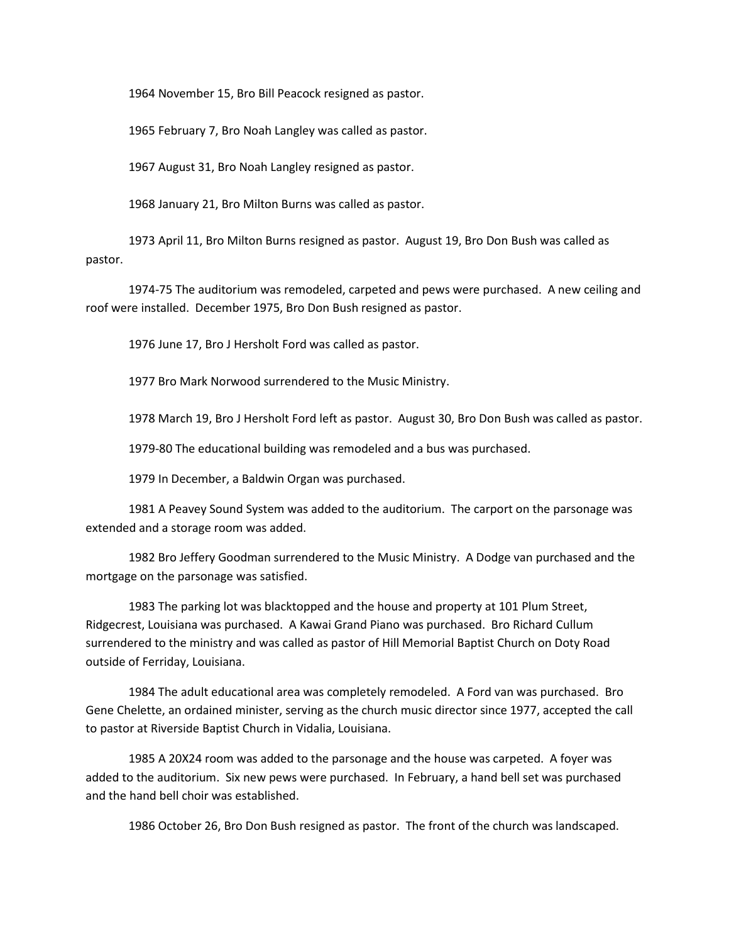1964 November 15, Bro Bill Peacock resigned as pastor.

1965 February 7, Bro Noah Langley was called as pastor.

1967 August 31, Bro Noah Langley resigned as pastor.

1968 January 21, Bro Milton Burns was called as pastor.

1973 April 11, Bro Milton Burns resigned as pastor. August 19, Bro Don Bush was called as pastor.

1974-75 The auditorium was remodeled, carpeted and pews were purchased. A new ceiling and roof were installed. December 1975, Bro Don Bush resigned as pastor.

1976 June 17, Bro J Hersholt Ford was called as pastor.

1977 Bro Mark Norwood surrendered to the Music Ministry.

1978 March 19, Bro J Hersholt Ford left as pastor. August 30, Bro Don Bush was called as pastor.

1979-80 The educational building was remodeled and a bus was purchased.

1979 In December, a Baldwin Organ was purchased.

1981 A Peavey Sound System was added to the auditorium. The carport on the parsonage was extended and a storage room was added.

1982 Bro Jeffery Goodman surrendered to the Music Ministry. A Dodge van purchased and the mortgage on the parsonage was satisfied.

1983 The parking lot was blacktopped and the house and property at 101 Plum Street, Ridgecrest, Louisiana was purchased. A Kawai Grand Piano was purchased. Bro Richard Cullum surrendered to the ministry and was called as pastor of Hill Memorial Baptist Church on Doty Road outside of Ferriday, Louisiana.

1984 The adult educational area was completely remodeled. A Ford van was purchased. Bro Gene Chelette, an ordained minister, serving as the church music director since 1977, accepted the call to pastor at Riverside Baptist Church in Vidalia, Louisiana.

1985 A 20X24 room was added to the parsonage and the house was carpeted. A foyer was added to the auditorium. Six new pews were purchased. In February, a hand bell set was purchased and the hand bell choir was established.

1986 October 26, Bro Don Bush resigned as pastor. The front of the church was landscaped.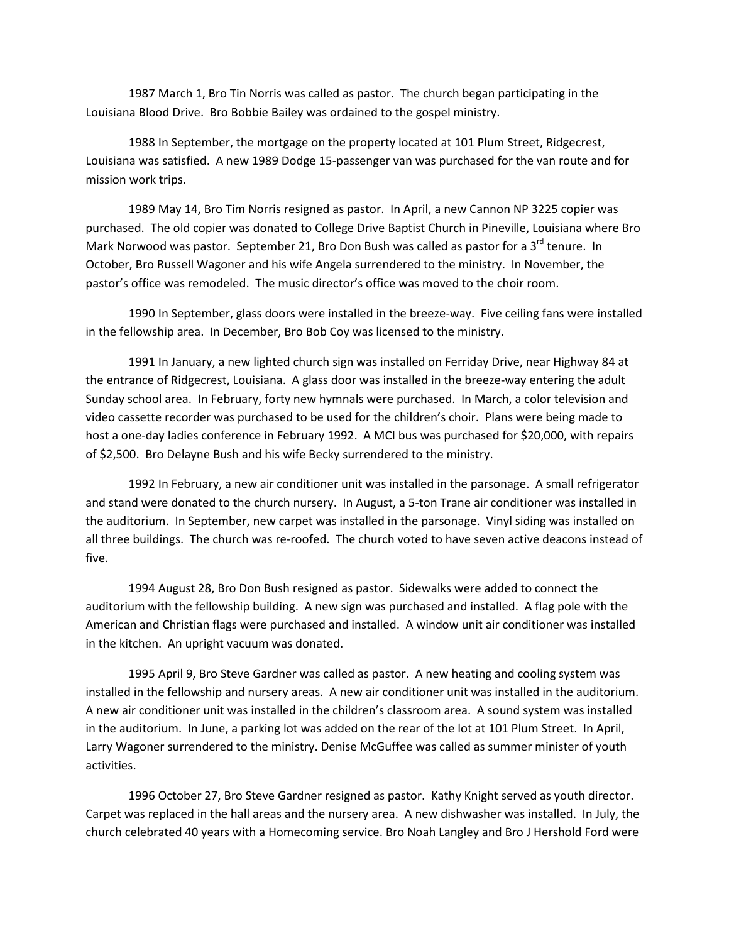1987 March 1, Bro Tin Norris was called as pastor. The church began participating in the Louisiana Blood Drive. Bro Bobbie Bailey was ordained to the gospel ministry.

1988 In September, the mortgage on the property located at 101 Plum Street, Ridgecrest, Louisiana was satisfied. A new 1989 Dodge 15-passenger van was purchased for the van route and for mission work trips.

1989 May 14, Bro Tim Norris resigned as pastor. In April, a new Cannon NP 3225 copier was purchased. The old copier was donated to College Drive Baptist Church in Pineville, Louisiana where Bro Mark Norwood was pastor. September 21, Bro Don Bush was called as pastor for a 3<sup>rd</sup> tenure. In October, Bro Russell Wagoner and his wife Angela surrendered to the ministry. In November, the pastor's office was remodeled. The music director's office was moved to the choir room.

1990 In September, glass doors were installed in the breeze-way. Five ceiling fans were installed in the fellowship area. In December, Bro Bob Coy was licensed to the ministry.

1991 In January, a new lighted church sign was installed on Ferriday Drive, near Highway 84 at the entrance of Ridgecrest, Louisiana. A glass door was installed in the breeze-way entering the adult Sunday school area. In February, forty new hymnals were purchased. In March, a color television and video cassette recorder was purchased to be used for the children's choir. Plans were being made to host a one-day ladies conference in February 1992. A MCI bus was purchased for \$20,000, with repairs of \$2,500. Bro Delayne Bush and his wife Becky surrendered to the ministry.

1992 In February, a new air conditioner unit was installed in the parsonage. A small refrigerator and stand were donated to the church nursery. In August, a 5-ton Trane air conditioner was installed in the auditorium. In September, new carpet was installed in the parsonage. Vinyl siding was installed on all three buildings. The church was re-roofed. The church voted to have seven active deacons instead of five.

1994 August 28, Bro Don Bush resigned as pastor. Sidewalks were added to connect the auditorium with the fellowship building. A new sign was purchased and installed. A flag pole with the American and Christian flags were purchased and installed. A window unit air conditioner was installed in the kitchen. An upright vacuum was donated.

1995 April 9, Bro Steve Gardner was called as pastor. A new heating and cooling system was installed in the fellowship and nursery areas. A new air conditioner unit was installed in the auditorium. A new air conditioner unit was installed in the children's classroom area. A sound system was installed in the auditorium. In June, a parking lot was added on the rear of the lot at 101 Plum Street. In April, Larry Wagoner surrendered to the ministry. Denise McGuffee was called as summer minister of youth activities.

1996 October 27, Bro Steve Gardner resigned as pastor. Kathy Knight served as youth director. Carpet was replaced in the hall areas and the nursery area. A new dishwasher was installed. In July, the church celebrated 40 years with a Homecoming service. Bro Noah Langley and Bro J Hershold Ford were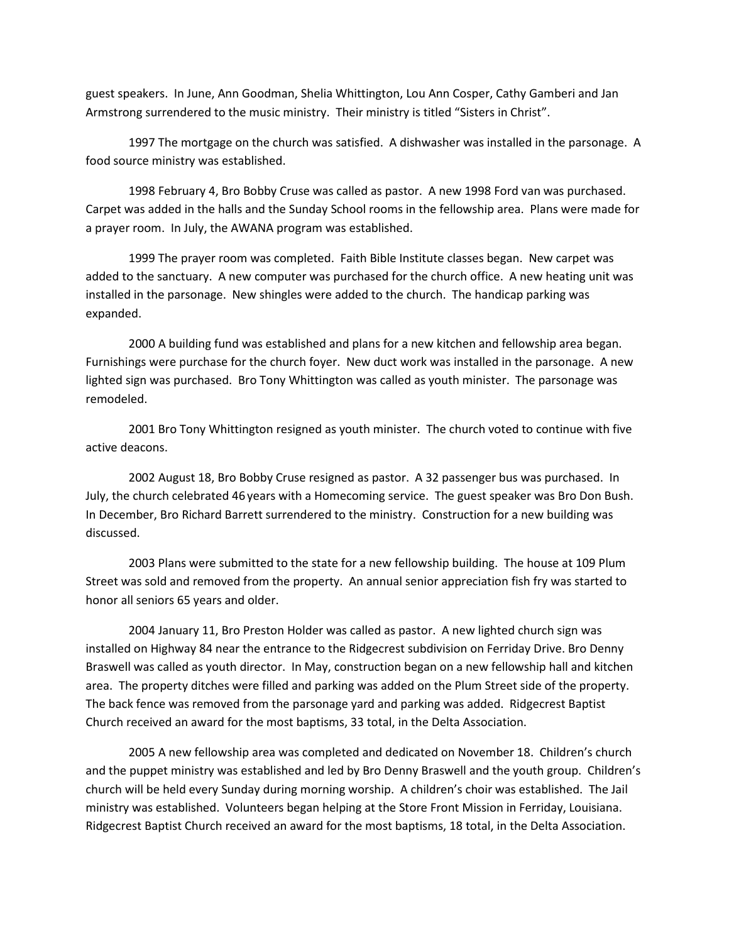guest speakers. In June, Ann Goodman, Shelia Whittington, Lou Ann Cosper, Cathy Gamberi and Jan Armstrong surrendered to the music ministry. Their ministry is titled "Sisters in Christ".

1997 The mortgage on the church was satisfied. A dishwasher was installed in the parsonage. A food source ministry was established.

1998 February 4, Bro Bobby Cruse was called as pastor. A new 1998 Ford van was purchased. Carpet was added in the halls and the Sunday School rooms in the fellowship area. Plans were made for a prayer room. In July, the AWANA program was established.

1999 The prayer room was completed. Faith Bible Institute classes began. New carpet was added to the sanctuary. A new computer was purchased for the church office. A new heating unit was installed in the parsonage. New shingles were added to the church. The handicap parking was expanded.

2000 A building fund was established and plans for a new kitchen and fellowship area began. Furnishings were purchase for the church foyer. New duct work was installed in the parsonage. A new lighted sign was purchased. Bro Tony Whittington was called as youth minister. The parsonage was remodeled.

2001 Bro Tony Whittington resigned as youth minister. The church voted to continue with five active deacons.

2002 August 18, Bro Bobby Cruse resigned as pastor. A 32 passenger bus was purchased. In July, the church celebrated 46 years with a Homecoming service. The guest speaker was Bro Don Bush. In December, Bro Richard Barrett surrendered to the ministry. Construction for a new building was discussed.

2003 Plans were submitted to the state for a new fellowship building. The house at 109 Plum Street was sold and removed from the property. An annual senior appreciation fish fry was started to honor all seniors 65 years and older.

2004 January 11, Bro Preston Holder was called as pastor. A new lighted church sign was installed on Highway 84 near the entrance to the Ridgecrest subdivision on Ferriday Drive. Bro Denny Braswell was called as youth director. In May, construction began on a new fellowship hall and kitchen area. The property ditches were filled and parking was added on the Plum Street side of the property. The back fence was removed from the parsonage yard and parking was added. Ridgecrest Baptist Church received an award for the most baptisms, 33 total, in the Delta Association.

2005 A new fellowship area was completed and dedicated on November 18. Children's church and the puppet ministry was established and led by Bro Denny Braswell and the youth group. Children's church will be held every Sunday during morning worship. A children's choir was established. The Jail ministry was established. Volunteers began helping at the Store Front Mission in Ferriday, Louisiana. Ridgecrest Baptist Church received an award for the most baptisms, 18 total, in the Delta Association.